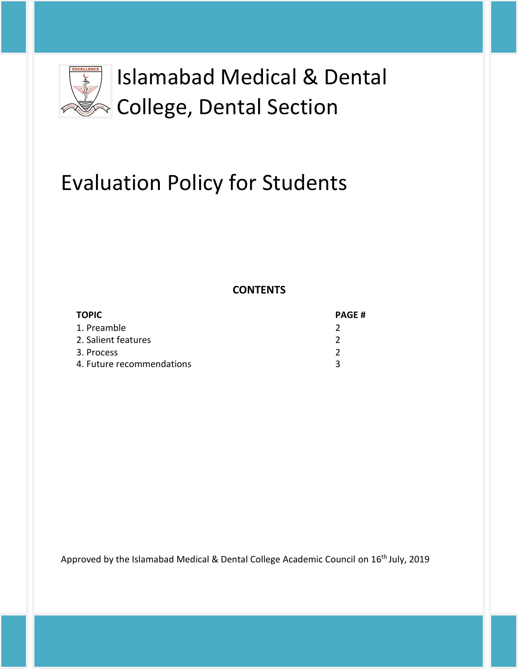

# Evaluation Policy for Students

**CONTENTS**

| <b>TOPIC</b>              | <b>PAGE#</b> |
|---------------------------|--------------|
| 1. Preamble               |              |
| 2. Salient features       |              |
| 3. Process                |              |
| 4. Future recommendations |              |

Approved by the Islamabad Medical & Dental College Academic Council on 16<sup>th</sup> July, 2019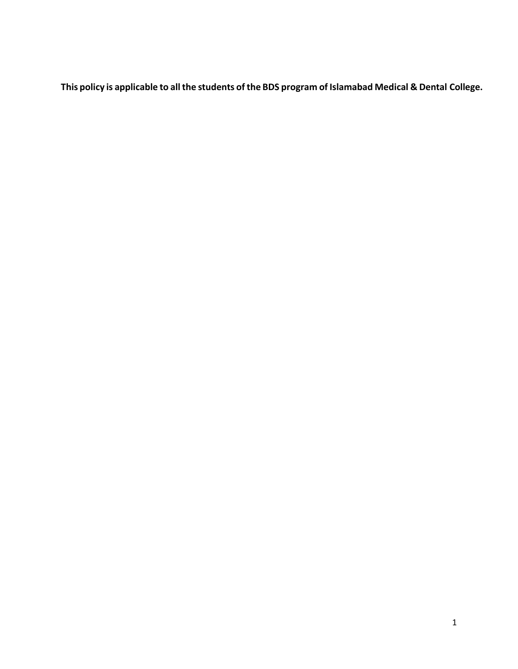**This policy is applicable to allthe students of the BDS program of Islamabad Medical & Dental College.**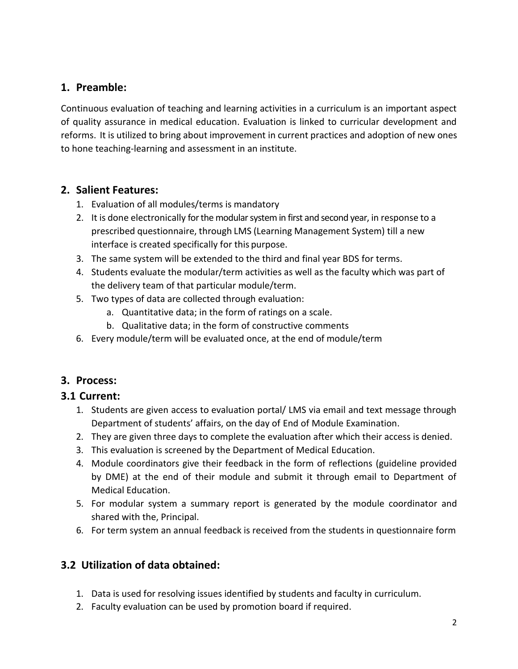# **1. Preamble:**

Continuous evaluation of teaching and learning activities in a curriculum is an important aspect of quality assurance in medical education. Evaluation is linked to curricular development and reforms. It is utilized to bring about improvement in current practices and adoption of new ones to hone teaching-learning and assessment in an institute.

## **2. Salient Features:**

- 1. Evaluation of all modules/terms is mandatory
- 2. It is done electronically for the modular system in first and second year, in response to a prescribed questionnaire, through LMS (Learning Management System) till a new interface is created specifically for this purpose.
- 3. The same system will be extended to the third and final year BDS for terms.
- 4. Students evaluate the modular/term activities as well as the faculty which was part of the delivery team of that particular module/term.
- 5. Two types of data are collected through evaluation:
	- a. Quantitative data; in the form of ratings on a scale.
	- b. Qualitative data; in the form of constructive comments
- 6. Every module/term will be evaluated once, at the end of module/term

#### **3. Process:**

#### **3.1 Current:**

- 1. Students are given access to evaluation portal/ LMS via email and text message through Department of students' affairs, on the day of End of Module Examination.
- 2. They are given three days to complete the evaluation after which their access is denied.
- 3. This evaluation is screened by the Department of Medical Education.
- 4. Module coordinators give their feedback in the form of reflections (guideline provided by DME) at the end of their module and submit it through email to Department of Medical Education.
- 5. For modular system a summary report is generated by the module coordinator and shared with the, Principal.
- 6. For term system an annual feedback is received from the students in questionnaire form

## **3.2 Utilization of data obtained:**

- 1. Data is used for resolving issues identified by students and faculty in curriculum.
- 2. Faculty evaluation can be used by promotion board if required.